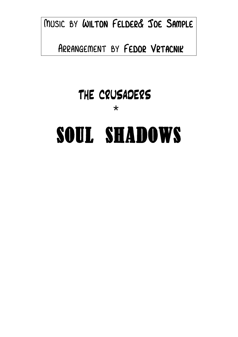Music by Wilton Felder& Joe Sample

Arrangement by Fedor Vrtacnik

## THE CRUSADERS

\*

## SOUL SHADOWS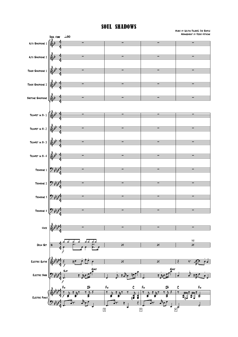## SOUL SHADOWS